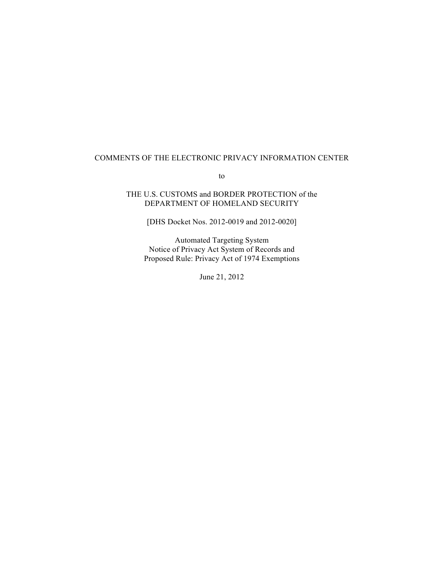## COMMENTS OF THE ELECTRONIC PRIVACY INFORMATION CENTER

to

## THE U.S. CUSTOMS and BORDER PROTECTION of the DEPARTMENT OF HOMELAND SECURITY

[DHS Docket Nos. 2012-0019 and 2012-0020]

Automated Targeting System Notice of Privacy Act System of Records and Proposed Rule: Privacy Act of 1974 Exemptions

June 21, 2012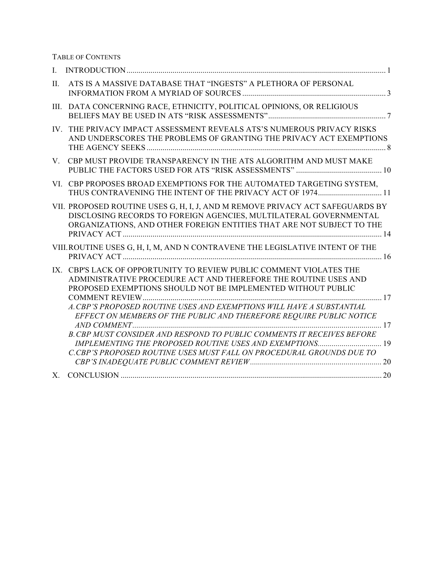TABLE OF CONTENTS

| $\mathbf{I}$ . |                                                                                                                                                                                                                                                                                                                                                                                                                                                                                                                                                                         |
|----------------|-------------------------------------------------------------------------------------------------------------------------------------------------------------------------------------------------------------------------------------------------------------------------------------------------------------------------------------------------------------------------------------------------------------------------------------------------------------------------------------------------------------------------------------------------------------------------|
| Π.             | ATS IS A MASSIVE DATABASE THAT "INGESTS" A PLETHORA OF PERSONAL                                                                                                                                                                                                                                                                                                                                                                                                                                                                                                         |
| Ш.             | DATA CONCERNING RACE, ETHNICITY, POLITICAL OPINIONS, OR RELIGIOUS                                                                                                                                                                                                                                                                                                                                                                                                                                                                                                       |
| $IV_{-}$       | THE PRIVACY IMPACT ASSESSMENT REVEALS ATS'S NUMEROUS PRIVACY RISKS<br>AND UNDERSCORES THE PROBLEMS OF GRANTING THE PRIVACY ACT EXEMPTIONS                                                                                                                                                                                                                                                                                                                                                                                                                               |
| $V_{\perp}$    | CBP MUST PROVIDE TRANSPARENCY IN THE ATS ALGORITHM AND MUST MAKE                                                                                                                                                                                                                                                                                                                                                                                                                                                                                                        |
| VI.            | CBP PROPOSES BROAD EXEMPTIONS FOR THE AUTOMATED TARGETING SYSTEM,<br>THUS CONTRAVENING THE INTENT OF THE PRIVACY ACT OF 1974 11                                                                                                                                                                                                                                                                                                                                                                                                                                         |
|                | VII. PROPOSED ROUTINE USES G, H, I, J, AND M REMOVE PRIVACY ACT SAFEGUARDS BY<br>DISCLOSING RECORDS TO FOREIGN AGENCIES, MULTILATERAL GOVERNMENTAL<br>ORGANIZATIONS, AND OTHER FOREIGN ENTITIES THAT ARE NOT SUBJECT TO THE                                                                                                                                                                                                                                                                                                                                             |
|                | VIII. ROUTINE USES G, H, I, M, AND N CONTRAVENE THE LEGISLATIVE INTENT OF THE                                                                                                                                                                                                                                                                                                                                                                                                                                                                                           |
| IX.            | CBP'S LACK OF OPPORTUNITY TO REVIEW PUBLIC COMMENT VIOLATES THE<br>ADMINISTRATIVE PROCEDURE ACT AND THEREFORE THE ROUTINE USES AND<br>PROPOSED EXEMPTIONS SHOULD NOT BE IMPLEMENTED WITHOUT PUBLIC<br>A. CBP'S PROPOSED ROUTINE USES AND EXEMPTIONS WILL HAVE A SUBSTANTIAL<br>EFFECT ON MEMBERS OF THE PUBLIC AND THEREFORE REQUIRE PUBLIC NOTICE<br>B. CBP MUST CONSIDER AND RESPOND TO PUBLIC COMMENTS IT RECEIVES BEFORE<br><b>IMPLEMENTING THE PROPOSED ROUTINE USES AND EXEMPTIONS</b> 19<br>C.CBP'S PROPOSED ROUTINE USES MUST FALL ON PROCEDURAL GROUNDS DUE TO |
| $X_{\cdot}$    |                                                                                                                                                                                                                                                                                                                                                                                                                                                                                                                                                                         |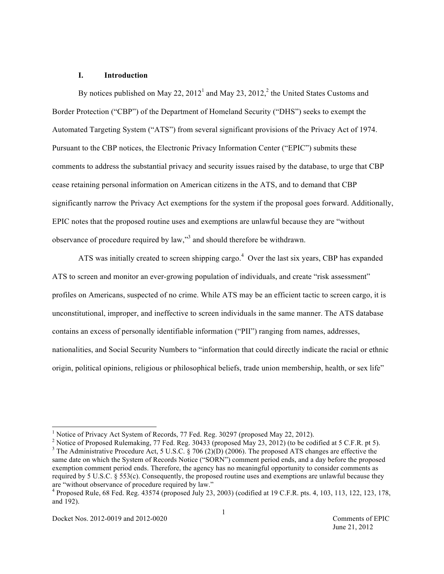#### **I. Introduction**

By notices published on May 22,  $2012<sup>1</sup>$  and May 23,  $2012<sup>2</sup>$ , the United States Customs and Border Protection ("CBP") of the Department of Homeland Security ("DHS") seeks to exempt the Automated Targeting System ("ATS") from several significant provisions of the Privacy Act of 1974. Pursuant to the CBP notices, the Electronic Privacy Information Center ("EPIC") submits these comments to address the substantial privacy and security issues raised by the database, to urge that CBP cease retaining personal information on American citizens in the ATS, and to demand that CBP significantly narrow the Privacy Act exemptions for the system if the proposal goes forward. Additionally, EPIC notes that the proposed routine uses and exemptions are unlawful because they are "without observance of procedure required by law,"<sup>3</sup> and should therefore be withdrawn.

ATS was initially created to screen shipping cargo.<sup>4</sup> Over the last six years, CBP has expanded ATS to screen and monitor an ever-growing population of individuals, and create "risk assessment" profiles on Americans, suspected of no crime. While ATS may be an efficient tactic to screen cargo, it is unconstitutional, improper, and ineffective to screen individuals in the same manner. The ATS database contains an excess of personally identifiable information ("PII") ranging from names, addresses, nationalities, and Social Security Numbers to "information that could directly indicate the racial or ethnic origin, political opinions, religious or philosophical beliefs, trade union membership, health, or sex life"

 $\frac{1}{1}$  $<sup>1</sup>$  Notice of Privacy Act System of Records, 77 Fed. Reg. 30297 (proposed May 22, 2012).</sup>

<sup>&</sup>lt;sup>2</sup> Notice of Proposed Rulemaking, 77 Fed. Reg. 30433 (proposed May 23, 2012) (to be codified at 5 C.F.R. pt 5). <sup>3</sup> The Administrative Procedure Act, 5 U.S.C. § 706 (2)(D) (2006). The proposed ATS changes are effective the same date on which the System of Records Notice ("SORN") comment period ends, and a day before the proposed exemption comment period ends. Therefore, the agency has no meaningful opportunity to consider comments as required by 5 U.S.C. § 553(c). Consequently, the proposed routine uses and exemptions are unlawful because they are "without observance of procedure required by law."

<sup>4</sup> Proposed Rule, 68 Fed. Reg. 43574 (proposed July 23, 2003) (codified at 19 C.F.R. pts. 4, 103, 113, 122, 123, 178, and 192).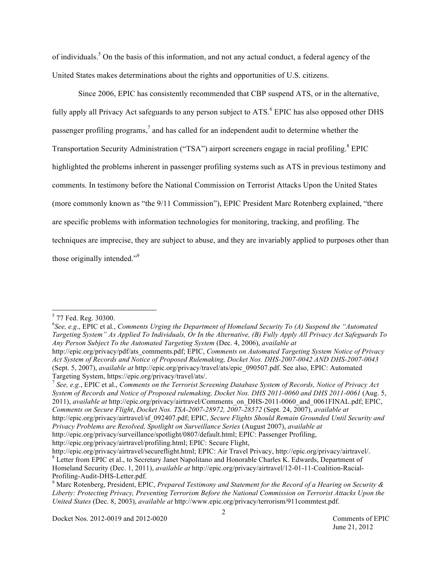of individuals.<sup>5</sup> On the basis of this information, and not any actual conduct, a federal agency of the United States makes determinations about the rights and opportunities of U.S. citizens.

Since 2006, EPIC has consistently recommended that CBP suspend ATS, or in the alternative, fully apply all Privacy Act safeguards to any person subject to ATS.<sup>6</sup> EPIC has also opposed other DHS passenger profiling programs,<sup>7</sup> and has called for an independent audit to determine whether the Transportation Security Administration ("TSA") airport screeners engage in racial profiling.<sup>8</sup> EPIC highlighted the problems inherent in passenger profiling systems such as ATS in previous testimony and comments. In testimony before the National Commission on Terrorist Attacks Upon the United States (more commonly known as "the 9/11 Commission"), EPIC President Marc Rotenberg explained, "there are specific problems with information technologies for monitoring, tracking, and profiling. The techniques are imprecise, they are subject to abuse, and they are invariably applied to purposes other than those originally intended."<sup>9</sup>

 <sup>5</sup>  $5$  77 Fed. Reg. 30300.

<sup>6</sup> *See, e.g*., EPIC et al*.*, *Comments Urging the Department of Homeland Security To (A) Suspend the "Automated Targeting System" As Applied To Individuals, Or In the Alternative, (B) Fully Apply All Privacy Act Safeguards To Any Person Subject To the Automated Targeting System* (Dec. 4, 2006), *available at*

http://epic.org/privacy/pdf/ats\_comments.pdf; EPIC, *Comments on Automated Targeting System Notice of Privacy Act System of Records and Notice of Proposed Rulemaking, Docket Nos. DHS-2007-0042 AND DHS-2007-0043* (Sept. 5, 2007), *available at* http://epic.org/privacy/travel/ats/epic\_090507.pdf. See also, EPIC: Automated Targeting System, https://epic.org/privacy/travel/ats/.

<sup>7</sup> *See, e.g.*, EPIC et al., *Comments on the Terrorist Screening Database System of Records, Notice of Privacy Act System of Records and Notice of Proposed rulemaking, Docket Nos. DHS 2011-0060 and DHS 2011-0061* (Aug. 5, 2011), *available at* http://epic.org/privacy/airtravel/Comments\_on\_DHS-2011-0060\_and\_0061FINAL.pdf; EPIC, *Comments on Secure Flight*, *Docket Nos. TSA-2007-28972, 2007-28572* (Sept. 24, 2007), *available at* http://epic.org/privacy/airtravel/sf\_092407.pdf; EPIC, *Secure Flights Should Remain Grounded Until Security and Privacy Problems are Resolved, Spotlight on Surveillance Series* (August 2007), *available at* http://epic.org/privacy/surveillance/spotlight/0807/default.html; EPIC: Passenger Profiling,

http://epic.org/privacy/airtravel/profiling.html; EPIC: Secure Flight,

http://epic.org/privacy/airtravel/secureflight.html; EPIC: Air Travel Privacy, http://epic.org/privacy/airtravel/.<br><sup>8</sup> Letter from EPIC et al., to Secretary Janet Napolitano and Honorable Charles K. Edwards, Department of Homeland Security (Dec. 1, 2011), *available at* http://epic.org/privacy/airtravel/12-01-11-Coalition-Racial-Profiling-Audit-DHS-Letter.pdf. <sup>9</sup>

Marc Rotenberg, President, EPIC, *Prepared Testimony and Statement for the Record of a Hearing on Security & Liberty: Protecting Privacy, Preventing Terrorism Before the National Commission on Terrorist Attacks Upon the United States* (Dec. 8, 2003), *available at* http://www.epic.org/privacy/terrorism/911commtest.pdf.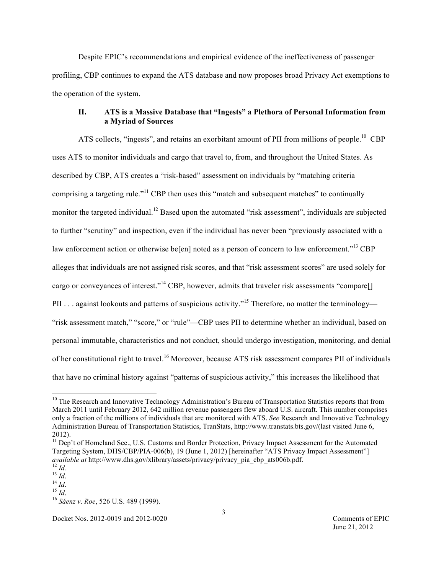Despite EPIC's recommendations and empirical evidence of the ineffectiveness of passenger profiling, CBP continues to expand the ATS database and now proposes broad Privacy Act exemptions to the operation of the system.

# **II. ATS is a Massive Database that "Ingests" a Plethora of Personal Information from a Myriad of Sources**

ATS collects, "ingests", and retains an exorbitant amount of PII from millions of people.<sup>10</sup> CBP uses ATS to monitor individuals and cargo that travel to, from, and throughout the United States. As described by CBP, ATS creates a "risk-based" assessment on individuals by "matching criteria comprising a targeting rule."<sup>11</sup> CBP then uses this "match and subsequent matches" to continually monitor the targeted individual.<sup>12</sup> Based upon the automated "risk assessment", individuals are subjected to further "scrutiny" and inspection, even if the individual has never been "previously associated with a law enforcement action or otherwise be[en] noted as a person of concern to law enforcement."<sup>13</sup> CBP alleges that individuals are not assigned risk scores, and that "risk assessment scores" are used solely for cargo or conveyances of interest."<sup>14</sup> CBP, however, admits that traveler risk assessments "compare[] PII . . . against lookouts and patterns of suspicious activity."<sup>15</sup> Therefore, no matter the terminology— "risk assessment match," "score," or "rule"—CBP uses PII to determine whether an individual, based on personal immutable, characteristics and not conduct, should undergo investigation, monitoring, and denial of her constitutional right to travel.<sup>16</sup> Moreover, because ATS risk assessment compares PII of individuals that have no criminal history against "patterns of suspicious activity," this increases the likelihood that

 $10$  The Research and Innovative Technology Administration's Bureau of Transportation Statistics reports that from March 2011 until February 2012, 642 million revenue passengers flew aboard U.S. aircraft. This number comprises only a fraction of the millions of individuals that are monitored with ATS. *See* Research and Innovative Technology Administration Bureau of Transportation Statistics, TranStats, http://www.transtats.bts.gov/(last visited June 6, 2012).

<sup>&</sup>lt;sup>11</sup> Dep't of Homeland Sec., U.S. Customs and Border Protection, Privacy Impact Assessment for the Automated Targeting System, DHS/CBP/PIA-006(b), 19 (June 1, 2012) [hereinafter "ATS Privacy Impact Assessment"] *available at* http://www.dhs.gov/xlibrary/assets/privacy/privacy\_pia\_cbp\_ats006b.pdf. <sup>12</sup> *Id.* <sup>13</sup> *Id*. <sup>14</sup> *Id*. <sup>15</sup> *Id*. <sup>16</sup> *Sáenz v*. *Roe*, 526 U.S. 489 (1999).

Docket Nos. 2012-0019 and 2012-0020 Comments of EPIC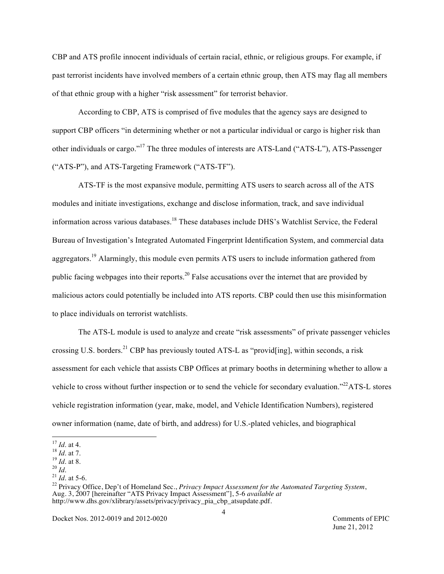CBP and ATS profile innocent individuals of certain racial, ethnic, or religious groups. For example, if past terrorist incidents have involved members of a certain ethnic group, then ATS may flag all members of that ethnic group with a higher "risk assessment" for terrorist behavior.

According to CBP, ATS is comprised of five modules that the agency says are designed to support CBP officers "in determining whether or not a particular individual or cargo is higher risk than other individuals or cargo."<sup>17</sup> The three modules of interests are ATS-Land ("ATS-L"), ATS-Passenger ("ATS-P"), and ATS-Targeting Framework ("ATS-TF").

ATS-TF is the most expansive module, permitting ATS users to search across all of the ATS modules and initiate investigations, exchange and disclose information, track, and save individual information across various databases. 18 These databases include DHS's Watchlist Service, the Federal Bureau of Investigation's Integrated Automated Fingerprint Identification System, and commercial data aggregators.<sup>19</sup> Alarmingly, this module even permits ATS users to include information gathered from public facing webpages into their reports.<sup>20</sup> False accusations over the internet that are provided by malicious actors could potentially be included into ATS reports. CBP could then use this misinformation to place individuals on terrorist watchlists.

The ATS-L module is used to analyze and create "risk assessments" of private passenger vehicles crossing U.S. borders.<sup>21</sup> CBP has previously touted ATS-L as "provid[ing], within seconds, a risk assessment for each vehicle that assists CBP Offices at primary booths in determining whether to allow a vehicle to cross without further inspection or to send the vehicle for secondary evaluation."<sup>22</sup>ATS-L stores vehicle registration information (year, make, model, and Vehicle Identification Numbers), registered owner information (name, date of birth, and address) for U.S.-plated vehicles, and biographical

Docket Nos. 2012-0019 and 2012-0020 Comments of EPIC

June 21, 2012

 <sup>17</sup> *Id*. at 4. 18 *Id*. at 7. 19 *Id*. at 8. 20 *Id*. 21 *Id*. at 5-6.

<sup>22</sup> Privacy Office, Dep't of Homeland Sec., *Privacy Impact Assessment for the Automated Targeting System*, Aug. 3, 2007 [hereinafter "ATS Privacy Impact Assessment"], 5-6 *available at* http://www.dhs.gov/xlibrary/assets/privacy/privacy\_pia\_cbp\_atsupdate.pdf.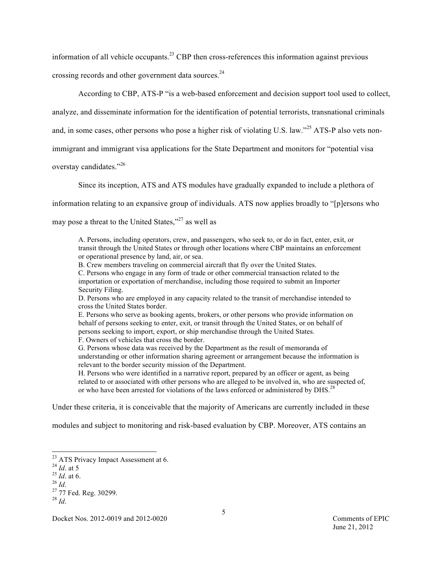information of all vehicle occupants.<sup>23</sup> CBP then cross-references this information against previous crossing records and other government data sources.<sup>24</sup>

According to CBP, ATS-P "is a web-based enforcement and decision support tool used to collect,

analyze, and disseminate information for the identification of potential terrorists, transnational criminals

and, in some cases, other persons who pose a higher risk of violating U.S. law."<sup>25</sup> ATS-P also vets non-

immigrant and immigrant visa applications for the State Department and monitors for "potential visa

overstay candidates."<sup>26</sup>

Since its inception, ATS and ATS modules have gradually expanded to include a plethora of

information relating to an expansive group of individuals. ATS now applies broadly to "[p]ersons who

may pose a threat to the United States,"<sup>27</sup> as well as

A. Persons, including operators, crew, and passengers, who seek to, or do in fact, enter, exit, or transit through the United States or through other locations where CBP maintains an enforcement or operational presence by land, air, or sea.

B. Crew members traveling on commercial aircraft that fly over the United States.

C. Persons who engage in any form of trade or other commercial transaction related to the importation or exportation of merchandise, including those required to submit an Importer Security Filing.

D. Persons who are employed in any capacity related to the transit of merchandise intended to cross the United States border.

E. Persons who serve as booking agents, brokers, or other persons who provide information on behalf of persons seeking to enter, exit, or transit through the United States, or on behalf of persons seeking to import, export, or ship merchandise through the United States. F. Owners of vehicles that cross the border.

G. Persons whose data was received by the Department as the result of memoranda of understanding or other information sharing agreement or arrangement because the information is relevant to the border security mission of the Department.

H. Persons who were identified in a narrative report, prepared by an officer or agent, as being related to or associated with other persons who are alleged to be involved in, who are suspected of, or who have been arrested for violations of the laws enforced or administered by DHS.<sup>28</sup>

Under these criteria, it is conceivable that the majority of Americans are currently included in these

modules and subject to monitoring and risk-based evaluation by CBP. Moreover, ATS contains an

<sup>&</sup>lt;sup>23</sup> ATS Privacy Impact Assessment at 6.<br><sup>24</sup> *Id.* at 5

<sup>&</sup>lt;sup>25</sup> *Id.* at 6.<br><sup>26</sup> *Id.* <sup>27</sup> 77 Fed. Reg. 30299.

 $^{28}$  *Id*.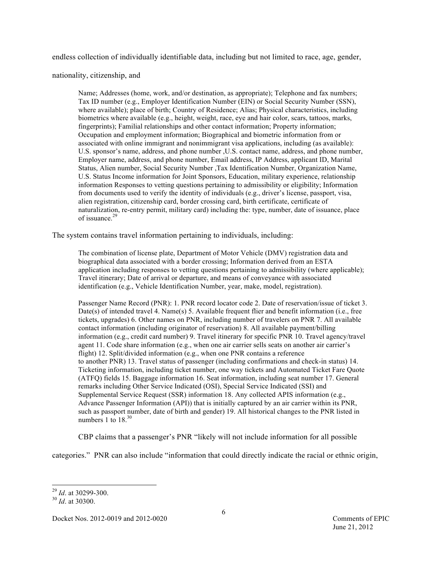endless collection of individually identifiable data, including but not limited to race, age, gender,

nationality, citizenship, and

Name; Addresses (home, work, and/or destination, as appropriate); Telephone and fax numbers; Tax ID number (e.g., Employer Identification Number (EIN) or Social Security Number (SSN), where available); place of birth; Country of Residence; Alias; Physical characteristics, including biometrics where available (e.g., height, weight, race, eye and hair color, scars, tattoos, marks, fingerprints); Familial relationships and other contact information; Property information; Occupation and employment information; Biographical and biometric information from or associated with online immigrant and nonimmigrant visa applications, including (as available): U.S. sponsor's name, address, and phone number , U.S. contact name, address, and phone number, Employer name, address, and phone number, Email address, IP Address, applicant ID, Marital Status, Alien number, Social Security Number ,Tax Identification Number, Organization Name, U.S. Status Income information for Joint Sponsors, Education, military experience, relationship information Responses to vetting questions pertaining to admissibility or eligibility; Information from documents used to verify the identity of individuals (e.g., driver's license, passport, visa, alien registration, citizenship card, border crossing card, birth certificate, certificate of naturalization, re-entry permit, military card) including the: type, number, date of issuance, place of issuance. 29

The system contains travel information pertaining to individuals, including:

The combination of license plate, Department of Motor Vehicle (DMV) registration data and biographical data associated with a border crossing; Information derived from an ESTA application including responses to vetting questions pertaining to admissibility (where applicable); Travel itinerary; Date of arrival or departure, and means of conveyance with associated identification (e.g., Vehicle Identification Number, year, make, model, registration).

Passenger Name Record (PNR): 1. PNR record locator code 2. Date of reservation/issue of ticket 3. Date(s) of intended travel 4. Name(s) 5. Available frequent flier and benefit information (i.e., free tickets, upgrades) 6. Other names on PNR, including number of travelers on PNR 7. All available contact information (including originator of reservation) 8. All available payment/billing information (e.g., credit card number) 9. Travel itinerary for specific PNR 10. Travel agency/travel agent 11. Code share information (e.g., when one air carrier sells seats on another air carrier's flight) 12. Split/divided information (e.g., when one PNR contains a reference to another PNR) 13. Travel status of passenger (including confirmations and check-in status) 14. Ticketing information, including ticket number, one way tickets and Automated Ticket Fare Quote (ATFQ) fields 15. Baggage information 16. Seat information, including seat number 17. General remarks including Other Service Indicated (OSI), Special Service Indicated (SSI) and Supplemental Service Request (SSR) information 18. Any collected APIS information (e.g., Advance Passenger Information (API)) that is initially captured by an air carrier within its PNR, such as passport number, date of birth and gender) 19. All historical changes to the PNR listed in numbers 1 to 18.<sup>30</sup>

CBP claims that a passenger's PNR "likely will not include information for all possible

categories." PNR can also include "information that could directly indicate the racial or ethnic origin,

<sup>29</sup> *Id*. at 30299-300. <sup>30</sup> *Id*. at 30300.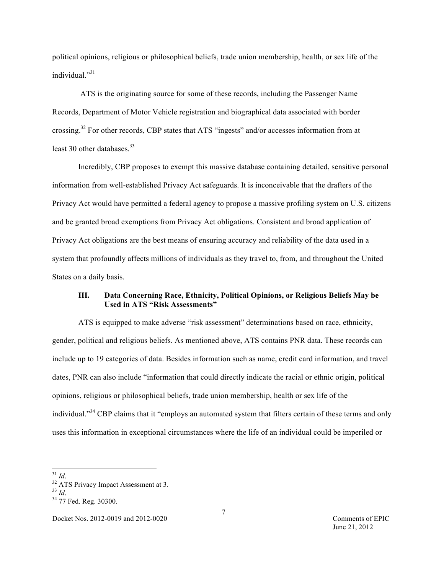political opinions, religious or philosophical beliefs, trade union membership, health, or sex life of the individual."<sup>31</sup>

ATS is the originating source for some of these records, including the Passenger Name Records, Department of Motor Vehicle registration and biographical data associated with border crossing.<sup>32</sup> For other records, CBP states that ATS "ingests" and/or accesses information from at least 30 other databases.<sup>33</sup>

Incredibly, CBP proposes to exempt this massive database containing detailed, sensitive personal information from well-established Privacy Act safeguards. It is inconceivable that the drafters of the Privacy Act would have permitted a federal agency to propose a massive profiling system on U.S. citizens and be granted broad exemptions from Privacy Act obligations. Consistent and broad application of Privacy Act obligations are the best means of ensuring accuracy and reliability of the data used in a system that profoundly affects millions of individuals as they travel to, from, and throughout the United States on a daily basis.

# **III. Data Concerning Race, Ethnicity, Political Opinions, or Religious Beliefs May be Used in ATS "Risk Assessments"**

ATS is equipped to make adverse "risk assessment" determinations based on race, ethnicity, gender, political and religious beliefs. As mentioned above, ATS contains PNR data. These records can include up to 19 categories of data. Besides information such as name, credit card information, and travel dates, PNR can also include "information that could directly indicate the racial or ethnic origin, political opinions, religious or philosophical beliefs, trade union membership, health or sex life of the individual."<sup>34</sup> CBP claims that it "employs an automated system that filters certain of these terms and only uses this information in exceptional circumstances where the life of an individual could be imperiled or

 $^{31}_{32}$  *Id.*<br> $^{32}_{32}$  ATS Privacy Impact Assessment at 3.<br> $^{33}_{1}$ 

<sup>&</sup>lt;sup>34</sup> 77 Fed. Reg. 30300.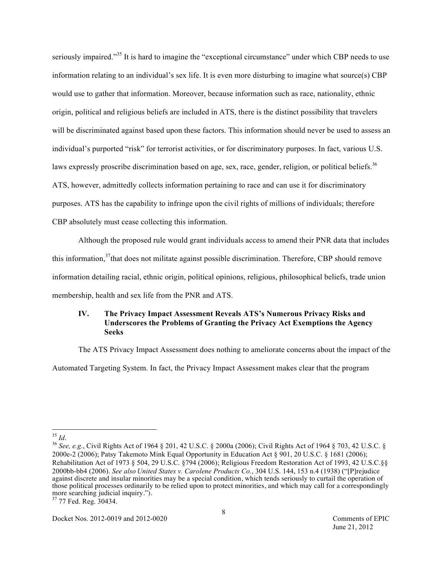seriously impaired."<sup>35</sup> It is hard to imagine the "exceptional circumstance" under which CBP needs to use information relating to an individual's sex life. It is even more disturbing to imagine what source(s) CBP would use to gather that information. Moreover, because information such as race, nationality, ethnic origin, political and religious beliefs are included in ATS, there is the distinct possibility that travelers will be discriminated against based upon these factors. This information should never be used to assess an individual's purported "risk" for terrorist activities, or for discriminatory purposes. In fact, various U.S. laws expressly proscribe discrimination based on age, sex, race, gender, religion, or political beliefs.<sup>36</sup> ATS, however, admittedly collects information pertaining to race and can use it for discriminatory purposes. ATS has the capability to infringe upon the civil rights of millions of individuals; therefore CBP absolutely must cease collecting this information.

Although the proposed rule would grant individuals access to amend their PNR data that includes this information,<sup>37</sup> that does not militate against possible discrimination. Therefore, CBP should remove information detailing racial, ethnic origin, political opinions, religious, philosophical beliefs, trade union membership, health and sex life from the PNR and ATS.

# **IV. The Privacy Impact Assessment Reveals ATS's Numerous Privacy Risks and Underscores the Problems of Granting the Privacy Act Exemptions the Agency Seeks**

The ATS Privacy Impact Assessment does nothing to ameliorate concerns about the impact of the

Automated Targeting System. In fact, the Privacy Impact Assessment makes clear that the program

<sup>35</sup> *Id*. <sup>36</sup> *See, e.g.*, Civil Rights Act of 1964 § 201, 42 U.S.C. § 2000a (2006); Civil Rights Act of 1964 § 703, 42 U.S.C. § 2000e-2 (2006); Patsy Takemoto Mink Equal Opportunity in Education Act § 901, 20 U.S.C. § 1681 (2006); Rehabilitation Act of 1973 § 504, 29 U.S.C. §794 (2006); Religious Freedom Restoration Act of 1993, 42 U.S.C.§§ 2000bb-bb4 (2006). *See also United States v. Carolene Products Co.*, 304 U.S. 144, 153 n.4 (1938) ("[P]rejudice against discrete and insular minorities may be a special condition, which tends seriously to curtail the operation of those political processes ordinarily to be relied upon to protect minorities, and which may call for a correspondingly more searching judicial inquiry.").<br><sup>37</sup> 77 Fed. Reg. 30434.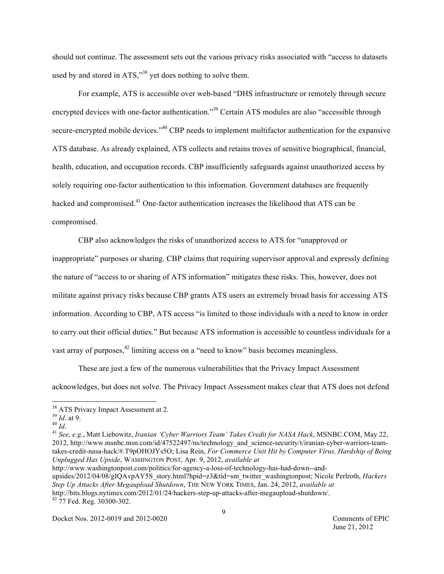should not continue. The assessment sets out the various privacy risks associated with "access to datasets used by and stored in ATS,"<sup>38</sup> yet does nothing to solve them.

For example, ATS is accessible over web-based "DHS infrastructure or remotely through secure encrypted devices with one-factor authentication."<sup>39</sup> Certain ATS modules are also "accessible through secure-encrypted mobile devices."<sup>40</sup> CBP needs to implement multifactor authentication for the expansive ATS database. As already explained, ATS collects and retains troves of sensitive biographical, financial, health, education, and occupation records. CBP insufficiently safeguards against unauthorized access by solely requiring one-factor authentication to this information. Government databases are frequently hacked and compromised.<sup>41</sup> One-factor authentication increases the likelihood that ATS can be compromised.

CBP also acknowledges the risks of unauthorized access to ATS for "unapproved or inappropriate" purposes or sharing. CBP claims that requiring supervisor approval and expressly defining the nature of "access to or sharing of ATS information" mitigates these risks. This, however, does not militate against privacy risks because CBP grants ATS users an extremely broad basis for accessing ATS information. According to CBP, ATS access "is limited to those individuals with a need to know in order to carry out their official duties." But because ATS information is accessible to countless individuals for a vast array of purposes,<sup>42</sup> limiting access on a "need to know" basis becomes meaningless.

These are just a few of the numerous vulnerabilities that the Privacy Impact Assessment acknowledges, but does not solve. The Privacy Impact Assessment makes clear that ATS does not defend

<sup>39</sup> *Id*. at 9. <sup>40</sup> *Id*. <sup>41</sup> *See, e.g.*, Matt Liebowitz, *Iranian 'Cyber Warriors Team' Takes Credit for NASA Hack*, MSNBC.COM, May 22, 2012, http://www.msnbc.msn.com/id/47522497/ns/technology\_and\_science-security/t/iranian-cyber-warriors-teamtakes-credit-nasa-hack/#.T9pOHOJYs5O; Lisa Rein, *For Commerce Unit Hit by Computer Virus, Hardship of Being Unplugged Has Upside*, WASHINGTON POST, Apr. 9, 2012, *available at* 

http://www.washingtonpost.com/politics/for-agency-a-loss-of-technology-has-had-down--andupsides/2012/04/08/gIQAvpAY5S\_story.html?hpid=z3&tid=sm\_twitter\_washingtonpost; Nicole Perlroth, *Hackers Step Up Attacks After Megaupload Shutdown*, THE NEW YORK TIMES, Jan. 24, 2012, *available at* http://bits.blogs.nytimes.com/2012/01/24/hackers-step-up-attacks-after-megaupload-shutdown/. 42 77 Fed. Reg. 30300-302.

Docket Nos. 2012-0019 and 2012-0020 Comments of EPIC

June 21, 2012

 $^{38}$  ATS Privacy Impact Assessment at 2.<br> $^{39}$  *Id* at 9.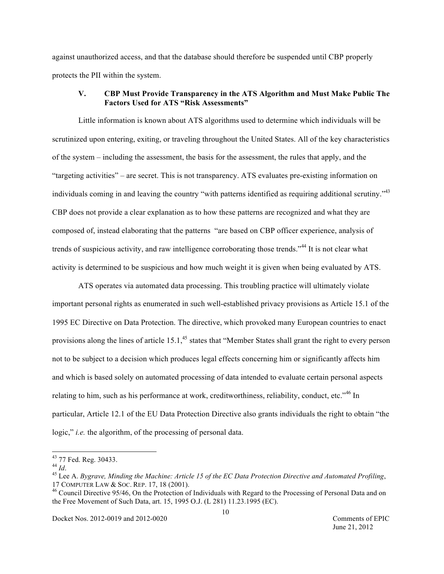against unauthorized access, and that the database should therefore be suspended until CBP properly protects the PII within the system.

### **V. CBP Must Provide Transparency in the ATS Algorithm and Must Make Public The Factors Used for ATS "Risk Assessments"**

Little information is known about ATS algorithms used to determine which individuals will be scrutinized upon entering, exiting, or traveling throughout the United States. All of the key characteristics of the system – including the assessment, the basis for the assessment, the rules that apply, and the "targeting activities" – are secret. This is not transparency. ATS evaluates pre-existing information on individuals coming in and leaving the country "with patterns identified as requiring additional scrutiny."<sup>43</sup> CBP does not provide a clear explanation as to how these patterns are recognized and what they are composed of, instead elaborating that the patterns "are based on CBP officer experience, analysis of trends of suspicious activity, and raw intelligence corroborating those trends."<sup>44</sup> It is not clear what activity is determined to be suspicious and how much weight it is given when being evaluated by ATS.

ATS operates via automated data processing. This troubling practice will ultimately violate important personal rights as enumerated in such well-established privacy provisions as Article 15.1 of the 1995 EC Directive on Data Protection. The directive, which provoked many European countries to enact provisions along the lines of article 15.1,<sup>45</sup> states that "Member States shall grant the right to every person not to be subject to a decision which produces legal effects concerning him or significantly affects him and which is based solely on automated processing of data intended to evaluate certain personal aspects relating to him, such as his performance at work, creditworthiness, reliability, conduct, etc."<sup>46</sup> In particular, Article 12.1 of the EU Data Protection Directive also grants individuals the right to obtain "the logic," *i.e.* the algorithm, of the processing of personal data.

<sup>&</sup>lt;sup>43</sup> 77 Fed. Reg. 30433.<br><sup>44</sup> *Id.* 45 *Id.* 45 Lee A. *Bygrave, Minding the Machine: Article 15 of the EC Data Protection Directive and Automated Profiling,* 17 COMPUTER LAW & SOC. REP. 17, 18 (2001).<br><sup>46</sup> Council Directive 95/46, On the Protection of Individuals with Regard to the Processing of Personal Data and on

the Free Movement of Such Data, art. 15, 1995 O.J. (L 281) 11.23.1995 (EC).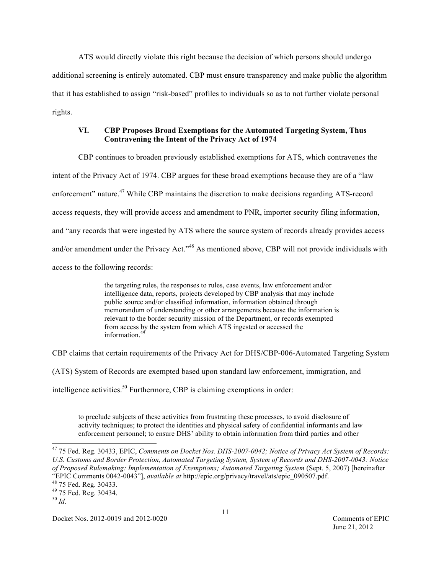ATS would directly violate this right because the decision of which persons should undergo additional screening is entirely automated. CBP must ensure transparency and make public the algorithm that it has established to assign "risk-based" profiles to individuals so as to not further violate personal rights.

# **VI. CBP Proposes Broad Exemptions for the Automated Targeting System, Thus Contravening the Intent of the Privacy Act of 1974**

CBP continues to broaden previously established exemptions for ATS, which contravenes the intent of the Privacy Act of 1974. CBP argues for these broad exemptions because they are of a "law enforcement" nature.<sup>47</sup> While CBP maintains the discretion to make decisions regarding ATS-record access requests, they will provide access and amendment to PNR, importer security filing information, and "any records that were ingested by ATS where the source system of records already provides access and/or amendment under the Privacy Act."<sup>48</sup> As mentioned above, CBP will not provide individuals with access to the following records:

> the targeting rules, the responses to rules, case events, law enforcement and/or intelligence data, reports, projects developed by CBP analysis that may include public source and/or classified information, information obtained through memorandum of understanding or other arrangements because the information is relevant to the border security mission of the Department, or records exempted from access by the system from which ATS ingested or accessed the information. 49

CBP claims that certain requirements of the Privacy Act for DHS/CBP-006-Automated Targeting System

(ATS) System of Records are exempted based upon standard law enforcement, immigration, and

intelligence activities. 50 Furthermore, CBP is claiming exemptions in order:

to preclude subjects of these activities from frustrating these processes, to avoid disclosure of activity techniques; to protect the identities and physical safety of confidential informants and law enforcement personnel; to ensure DHS' ability to obtain information from third parties and other

 47 75 Fed. Reg. 30433, EPIC, *Comments on Docket Nos. DHS-2007-0042; Notice of Privacy Act System of Records: U.S. Customs and Border Protection, Automated Targeting System, System of Records and DHS-2007-0043: Notice of Proposed Rulemaking: Implementation of Exemptions; Automated Targeting System* (Sept. 5, 2007) [hereinafter "EPIC Comments 0042-0043"], *available at* http://epic.org/privacy/travel/ats/epic\_090507.pdf. 48 75 Fed. Reg. 30433. 49 75 Fed. Reg. 30434.

Docket Nos. 2012-0019 and 2012-0020 Comments of EPIC

<sup>50</sup> *Id*.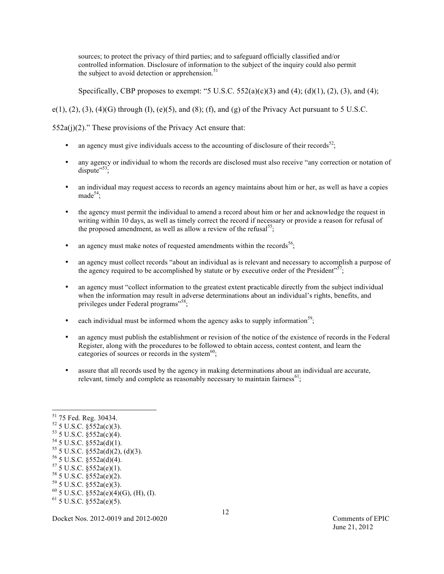sources; to protect the privacy of third parties; and to safeguard officially classified and/or controlled information. Disclosure of information to the subject of the inquiry could also permit the subject to avoid detection or apprehension.<sup>51</sup>

Specifically, CBP proposes to exempt: "5 U.S.C. 552(a)(c)(3) and (4); (d)(1), (2), (3), and (4);

e(1), (2), (3), (4)(G) through (I), (e)(5), and (8); (f), and (g) of the Privacy Act pursuant to 5 U.S.C.

 $552a(j)(2)$ ." These provisions of the Privacy Act ensure that:

- an agency must give individuals access to the accounting of disclosure of their records<sup>52</sup>;
- any agency or individual to whom the records are disclosed must also receive "any correction or notation of dispute"<sup>53</sup>;
- an individual may request access to records an agency maintains about him or her, as well as have a copies made<sup>54</sup>;
- the agency must permit the individual to amend a record about him or her and acknowledge the request in writing within 10 days, as well as timely correct the record if necessary or provide a reason for refusal of the proposed amendment, as well as allow a review of the refusal<sup>55</sup>;
- an agency must make notes of requested amendments within the records<sup>56</sup>;
- an agency must collect records "about an individual as is relevant and necessary to accomplish a purpose of the agency required to be accomplished by statute or by executive order of the President",
- an agency must "collect information to the greatest extent practicable directly from the subject individual when the information may result in adverse determinations about an individual's rights, benefits, and privileges under Federal programs"<sup>58</sup>;
- each individual must be informed whom the agency asks to supply information<sup>59</sup>;
- an agency must publish the establishment or revision of the notice of the existence of records in the Federal Register, along with the procedures to be followed to obtain access, contest content, and learn the categories of sources or records in the system $60$ ;
- assure that all records used by the agency in making determinations about an individual are accurate, relevant, timely and complete as reasonably necessary to maintain fairness<sup>61</sup>;

56 5 U.S.C. §552a(d)(4).

 <sup>51 75</sup> Fed. Reg. 30434.

 $52$  5 U.S.C. §552a(c)(3).

 $53$  5 U.S.C.  $\S 552a(c)(4)$ .

 $54$  5 U.S.C. §552a(d)(1).

<sup>55 5</sup> U.S.C. §552a(d)(2), (d)(3).

 $57$  5 U.S.C. §552a(e)(1).

 $58$  5 U.S.C. §552a(e)(2).

 $59$  5 U.S.C. §552a(e)(3).

 $^{60}$  5 U.S.C. §552a(e)(4)(G), (H), (I).

 $61$  5 U.S.C. §552a(e)(5).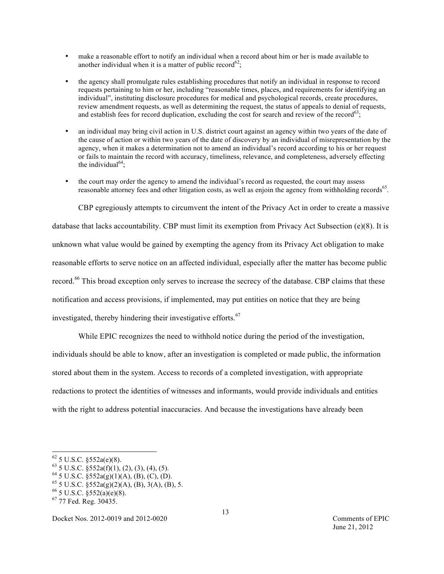- make a reasonable effort to notify an individual when a record about him or her is made available to another individual when it is a matter of public record<sup>62</sup>;
- the agency shall promulgate rules establishing procedures that notify an individual in response to record requests pertaining to him or her, including "reasonable times, places, and requirements for identifying an individual", instituting disclosure procedures for medical and psychological records, create procedures, review amendment requests, as well as determining the request, the status of appeals to denial of requests, and establish fees for record duplication, excluding the cost for search and review of the record<sup>63</sup>;
- an individual may bring civil action in U.S. district court against an agency within two years of the date of the cause of action or within two years of the date of discovery by an individual of misrepresentation by the agency, when it makes a determination not to amend an individual's record according to his or her request or fails to maintain the record with accuracy, timeliness, relevance, and completeness, adversely effecting the individual<sup>64</sup>;
- the court may order the agency to amend the individual's record as requested, the court may assess reasonable attorney fees and other litigation costs, as well as enjoin the agency from withholding records<sup>65</sup>.

CBP egregiously attempts to circumvent the intent of the Privacy Act in order to create a massive

database that lacks accountability. CBP must limit its exemption from Privacy Act Subsection (e)(8). It is unknown what value would be gained by exempting the agency from its Privacy Act obligation to make reasonable efforts to serve notice on an affected individual, especially after the matter has become public record.<sup>66</sup> This broad exception only serves to increase the secrecy of the database. CBP claims that these notification and access provisions, if implemented, may put entities on notice that they are being

investigated, thereby hindering their investigative efforts.<sup>67</sup>

While EPIC recognizes the need to withhold notice during the period of the investigation,

individuals should be able to know, after an investigation is completed or made public, the information stored about them in the system. Access to records of a completed investigation, with appropriate redactions to protect the identities of witnesses and informants, would provide individuals and entities with the right to address potential inaccuracies. And because the investigations have already been

 $62$  5 U.S.C. §552a(e)(8).

 $^{63}$  5 U.S.C.  $\frac{8}{3}$  552a(f)(1), (2), (3), (4), (5).

<sup>&</sup>lt;sup>64</sup> 5 U.S.C.  $\S 552a(g)(1)(A)$ , (B), (C), (D).

 $65$  5 U.S.C.  $\S 52a(g)(2)(A)$ , (B), 3(A), (B), 5.

 $^{66}$  5 U.S.C. §552(a)(e)(8).<br><sup>67</sup> 77 Fed. Reg. 30435.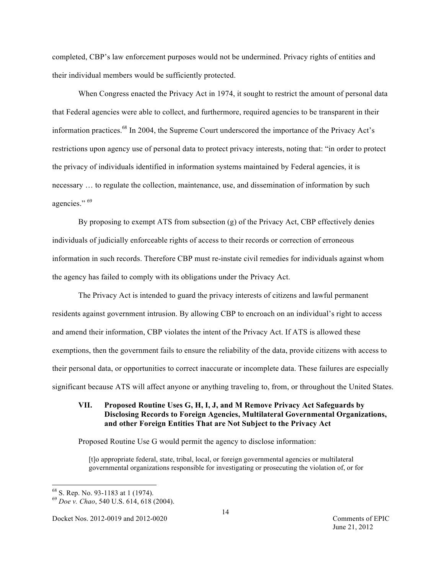completed, CBP's law enforcement purposes would not be undermined. Privacy rights of entities and their individual members would be sufficiently protected.

When Congress enacted the Privacy Act in 1974, it sought to restrict the amount of personal data that Federal agencies were able to collect, and furthermore, required agencies to be transparent in their information practices.<sup>68</sup> In 2004, the Supreme Court underscored the importance of the Privacy Act's restrictions upon agency use of personal data to protect privacy interests, noting that: "in order to protect the privacy of individuals identified in information systems maintained by Federal agencies, it is necessary … to regulate the collection, maintenance, use, and dissemination of information by such agencies." <sup>69</sup>

By proposing to exempt ATS from subsection (g) of the Privacy Act, CBP effectively denies individuals of judicially enforceable rights of access to their records or correction of erroneous information in such records. Therefore CBP must re-instate civil remedies for individuals against whom the agency has failed to comply with its obligations under the Privacy Act.

The Privacy Act is intended to guard the privacy interests of citizens and lawful permanent residents against government intrusion. By allowing CBP to encroach on an individual's right to access and amend their information, CBP violates the intent of the Privacy Act. If ATS is allowed these exemptions, then the government fails to ensure the reliability of the data, provide citizens with access to their personal data, or opportunities to correct inaccurate or incomplete data. These failures are especially significant because ATS will affect anyone or anything traveling to, from, or throughout the United States.

# **VII. Proposed Routine Uses G, H, I, J, and M Remove Privacy Act Safeguards by Disclosing Records to Foreign Agencies, Multilateral Governmental Organizations, and other Foreign Entities That are Not Subject to the Privacy Act**

Proposed Routine Use G would permit the agency to disclose information:

[t]o appropriate federal, state, tribal, local, or foreign governmental agencies or multilateral governmental organizations responsible for investigating or prosecuting the violation of, or for

 <sup>68</sup> S. Rep. No. 93-1183 at 1 (1974). 69 *Doe v. Chao*, 540 U.S. 614, 618 (2004).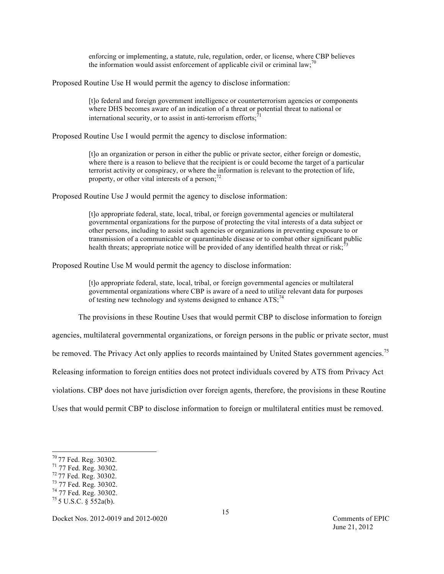enforcing or implementing, a statute, rule, regulation, order, or license, where CBP believes the information would assist enforcement of applicable civil or criminal law;<sup>70</sup>

Proposed Routine Use H would permit the agency to disclose information:

[t]o federal and foreign government intelligence or counterterrorism agencies or components where DHS becomes aware of an indication of a threat or potential threat to national or international security, or to assist in anti-terrorism efforts; $^{71}$ 

Proposed Routine Use I would permit the agency to disclose information:

[t]o an organization or person in either the public or private sector, either foreign or domestic, where there is a reason to believe that the recipient is or could become the target of a particular terrorist activity or conspiracy, or where the information is relevant to the protection of life, property, or other vital interests of a person;<sup>72</sup>

Proposed Routine Use J would permit the agency to disclose information:

[t]o appropriate federal, state, local, tribal, or foreign governmental agencies or multilateral governmental organizations for the purpose of protecting the vital interests of a data subject or other persons, including to assist such agencies or organizations in preventing exposure to or transmission of a communicable or quarantinable disease or to combat other significant public health threats; appropriate notice will be provided of any identified health threat or risk;<sup>73</sup>

Proposed Routine Use M would permit the agency to disclose information:

[t]o appropriate federal, state, local, tribal, or foreign governmental agencies or multilateral governmental organizations where CBP is aware of a need to utilize relevant data for purposes of testing new technology and systems designed to enhance ATS;<sup>74</sup>

The provisions in these Routine Uses that would permit CBP to disclose information to foreign

agencies, multilateral governmental organizations, or foreign persons in the public or private sector, must

be removed. The Privacy Act only applies to records maintained by United States government agencies.<sup>75</sup>

Releasing information to foreign entities does not protect individuals covered by ATS from Privacy Act

violations. CBP does not have jurisdiction over foreign agents, therefore, the provisions in these Routine

Uses that would permit CBP to disclose information to foreign or multilateral entities must be removed.

- 
- 

Docket Nos. 2012-0019 and 2012-0020 Comments of EPIC

<sup>70 77</sup> Fed. Reg. 30302.<br>
71 77 Fed. Reg. 30302.<br>
72 77 Fed. Reg. 30302.<br>
73 77 Fed. Reg. 30302.<br>
74 77 Fed. Reg. 30302.<br>
75 5 U.S.C. § 552a(b).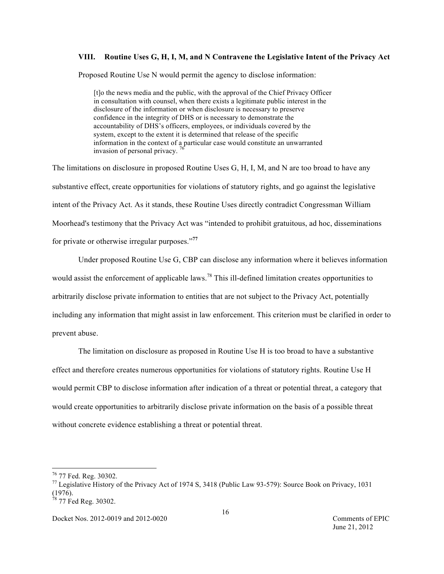#### **VIII. Routine Uses G, H, I, M, and N Contravene the Legislative Intent of the Privacy Act**

Proposed Routine Use N would permit the agency to disclose information:

 [t]o the news media and the public, with the approval of the Chief Privacy Officer in consultation with counsel, when there exists a legitimate public interest in the disclosure of the information or when disclosure is necessary to preserve confidence in the integrity of DHS or is necessary to demonstrate the accountability of DHS's officers, employees, or individuals covered by the system, except to the extent it is determined that release of the specific information in the context of a particular case would constitute an unwarranted invasion of personal privacy.  $\frac{76}{6}$ 

The limitations on disclosure in proposed Routine Uses G, H, I, M, and N are too broad to have any substantive effect, create opportunities for violations of statutory rights, and go against the legislative intent of the Privacy Act. As it stands, these Routine Uses directly contradict Congressman William Moorhead's testimony that the Privacy Act was "intended to prohibit gratuitous, ad hoc, disseminations for private or otherwise irregular purposes." **77**

Under proposed Routine Use G, CBP can disclose any information where it believes information would assist the enforcement of applicable laws.<sup>78</sup> This ill-defined limitation creates opportunities to arbitrarily disclose private information to entities that are not subject to the Privacy Act, potentially including any information that might assist in law enforcement. This criterion must be clarified in order to prevent abuse.

The limitation on disclosure as proposed in Routine Use H is too broad to have a substantive effect and therefore creates numerous opportunities for violations of statutory rights. Routine Use H would permit CBP to disclose information after indication of a threat or potential threat, a category that would create opportunities to arbitrarily disclose private information on the basis of a possible threat without concrete evidence establishing a threat or potential threat.

<sup>&</sup>lt;sup>76</sup> 77 Fed. Reg. 30302.<br><sup>77</sup> Legislative History of the Privacy Act of 1974 S, 3418 (Public Law 93-579): Source Book on Privacy, 1031  $(1976).$ 

 $78$  77 Fed Reg. 30302.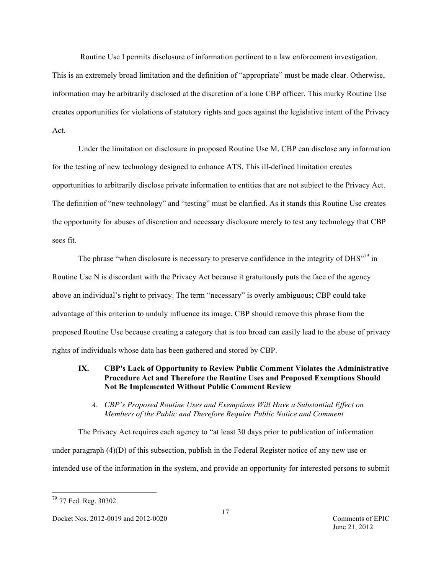Routine Use I permits disclosure of information pertinent to a law enforcement investigation.

This is an extremely broad limitation and the definition of "appropriate" must be made clear. Otherwise, information may be arbitrarily disclosed at the discretion of a lone CBP officer. This murky Routine Use creates opportunities for violations of statutory rights and goes against the legislative intent of the Privacy Act.

Under the limitation on disclosure in proposed Routine Use M, CBP can disclose any information for the testing of new technology designed to enhance ATS. This ill-defined limitation creates opportunities to arbitrarily disclose private information to entities that are not subject to the Privacy Act. The definition of "new technology" and "testing" must be clarified. As it stands this Routine Use creates the opportunity for abuses of discretion and necessary disclosure merely to test any technology that CBP sees fit.

The phrase "when disclosure is necessary to preserve confidence in the integrity of  $DHS''^{79}$  in Routine Use N is discordant with the Privacy Act because it gratuitously puts the face of the agency above an individual's right to privacy. The term "necessary" is overly ambiguous; CBP could take advantage of this criterion to unduly influence its image. CBP should remove this phrase from the proposed Routine Use because creating a category that is too broad can easily lead to the abuse of privacy rights of individuals whose data has been gathered and stored by CBP.

# **IX. CBP's Lack of Opportunity to Review Public Comment Violates the Administrative Procedure Act and Therefore the Routine Uses and Proposed Exemptions Should Not Be Implemented Without Public Comment Review**

*A. CBP's Proposed Routine Uses and Exemptions Will Have a Substantial Effect on Members of the Public and Therefore Require Public Notice and Comment*

The Privacy Act requires each agency to "at least 30 days prior to publication of information under paragraph (4)(D) of this subsection, publish in the Federal Register notice of any new use or intended use of the information in the system, and provide an opportunity for interested persons to submit

 <sup>79</sup> 77 Fed. Reg. 30302.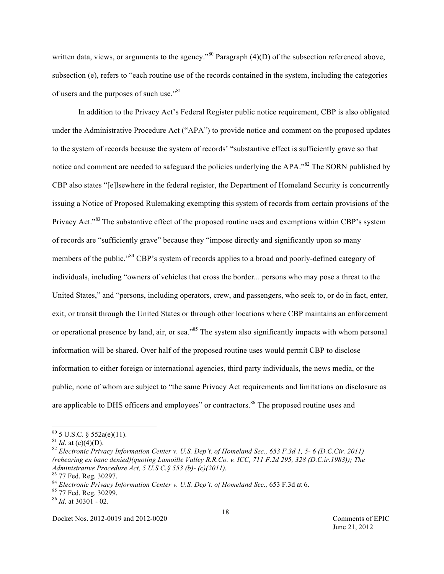written data, views, or arguments to the agency."<sup>80</sup> Paragraph  $(4)(D)$  of the subsection referenced above, subsection (e), refers to "each routine use of the records contained in the system, including the categories of users and the purposes of such use."<sup>81</sup>

In addition to the Privacy Act's Federal Register public notice requirement, CBP is also obligated under the Administrative Procedure Act ("APA") to provide notice and comment on the proposed updates to the system of records because the system of records' "substantive effect is sufficiently grave so that notice and comment are needed to safeguard the policies underlying the APA."<sup>82</sup> The SORN published by CBP also states "[e]lsewhere in the federal register, the Department of Homeland Security is concurrently issuing a Notice of Proposed Rulemaking exempting this system of records from certain provisions of the Privacy Act.<sup>383</sup> The substantive effect of the proposed routine uses and exemptions within CBP's system of records are "sufficiently grave" because they "impose directly and significantly upon so many members of the public."<sup>84</sup> CBP's system of records applies to a broad and poorly-defined category of individuals, including "owners of vehicles that cross the border... persons who may pose a threat to the United States," and "persons, including operators, crew, and passengers, who seek to, or do in fact, enter, exit, or transit through the United States or through other locations where CBP maintains an enforcement or operational presence by land, air, or sea.<sup>385</sup> The system also significantly impacts with whom personal information will be shared. Over half of the proposed routine uses would permit CBP to disclose information to either foreign or international agencies, third party individuals, the news media, or the public, none of whom are subject to "the same Privacy Act requirements and limitations on disclosure as are applicable to DHS officers and employees" or contractors.<sup>86</sup> The proposed routine uses and

Docket Nos. 2012-0019 and 2012-0020 Comments of EPIC

<sup>&</sup>lt;sup>80</sup> 5 U.S.C. § 552a(e)(11).<br><sup>81</sup> *Id.* at (e)(4)(D).<br><sup>82</sup> *Electronic Privacy Information Center v. U.S. Dep't. of Homeland Sec., 653 F.3d 1, 5- 6 (D.C.Cir. 2011) (rehearing en banc denied)(quoting Lamoille Valley R.R.Co. v. ICC, 711 F.2d 295, 328 (D.C.ir.1983)); The* 

<sup>&</sup>lt;sup>83</sup> 77 Fed. Reg. 30297.<br><sup>84</sup> Electronic Privacy Information Center v. U.S. Dep't. of Homeland Sec., 653 F.3d at 6.<br><sup>85</sup> 77 Fed. Reg. 30299.<br><sup>86</sup> Id. at 30301 - 02.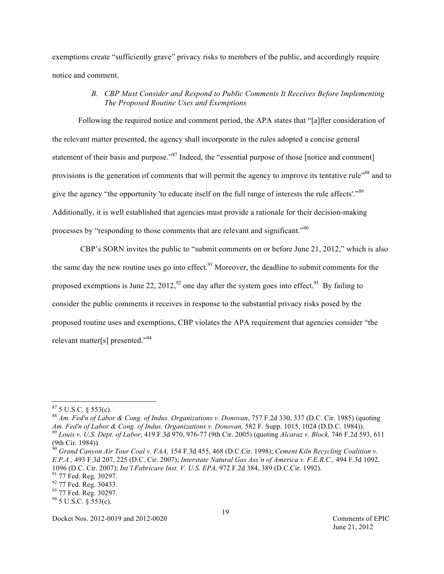exemptions create "sufficiently grave" privacy risks to members of the public, and accordingly require notice and comment.

## *B. CBP Must Consider and Respond to Public Comments It Receives Before Implementing The Proposed Routine Uses and Exemptions*

Following the required notice and comment period, the APA states that "[a]fter consideration of the relevant matter presented, the agency shall incorporate in the rules adopted a concise general statement of their basis and purpose."<sup>87</sup> Indeed, the "essential purpose of those [notice and comment] provisions is the generation of comments that will permit the agency to improve its tentative rule"<sup>88</sup> and to give the agency "the opportunity 'to educate itself on the full range of interests the rule affects'."<sup>89</sup> Additionally, it is well established that agencies must provide a rationale for their decision-making processes by "responding to those comments that are relevant and significant."<sup>90</sup>

CBP's SORN invites the public to "submit comments on or before June 21, 2012," which is also the same day the new routine uses go into effect.<sup>91</sup> Moreover, the deadline to submit comments for the proposed exemptions is June 22, 2012,  $\frac{92}{2}$  one day after the system goes into effect.  $\frac{93}{2}$  By failing to consider the public comments it receives in response to the substantial privacy risks posed by the proposed routine uses and exemptions, CBP violates the APA requirement that agencies consider "the relevant matter[s] presented."<sup>94</sup>

<sup>&</sup>lt;sup>87</sup> 5 U.S.C. § 553(c).<br><sup>88</sup> *Am. Fed'n of Labor & Cong. of Indus. Organizations v. Donovan, 757 F.2d 330, 337 (D.C. Cir. 1985) (quoting* Am. Fed'n of Labor & Cong. of Indus. Organizations v. Donovan, 582 F. Supp. 1015, 1024 (D.D.C. 1984)).<br><sup>89</sup> Louis v. U.S. Dept. of Labor, 419 F.3d 970, 976-77 (9th Cir. 2005) (quoting Alcaraz v. Block, 746 F.2d 593, 611 (9th Cir. 1984)).

<sup>90</sup> *Grand Canyon Air Tour Coal v. FAA,* 154 F.3d 455, 468 (D.C.Cir. 1998); *Cement Kiln Recycling Coalition v. E.P.A.,* 493 F.3d 207, 225 (D.C. Cir. 2007); *Interstate Natural Gas Ass'n of America v. F.E.R.C.,* 494 F.3d 1092, 1096 (D.C. Cir. 2007); *Int'l Fabricare Inst. V. U.S. EPA*, 972 F.2d 384, 389 (D.C.Cir. 1992).<br><sup>91</sup> 77 Fed. Reg. 30297.<br><sup>92</sup> 77 Fed. Reg. 30433.<br><sup>93</sup> 77 Fed. Reg. 30297.<br><sup>94</sup> 5 U.S.C. § 553(c).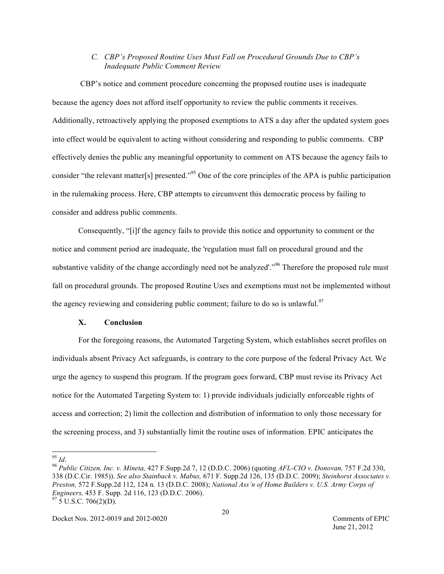# *C. CBP's Proposed Routine Uses Must Fall on Procedural Grounds Due to CBP's Inadequate Public Comment Review*

CBP's notice and comment procedure concerning the proposed routine uses is inadequate because the agency does not afford itself opportunity to review the public comments it receives. Additionally, retroactively applying the proposed exemptions to ATS a day after the updated system goes into effect would be equivalent to acting without considering and responding to public comments. CBP effectively denies the public any meaningful opportunity to comment on ATS because the agency fails to consider "the relevant matter<sup>[s]</sup> presented.<sup>"95</sup> One of the core principles of the APA is public participation in the rulemaking process. Here, CBP attempts to circumvent this democratic process by failing to consider and address public comments.

Consequently, "[i]f the agency fails to provide this notice and opportunity to comment or the notice and comment period are inadequate, the 'regulation must fall on procedural ground and the substantive validity of the change accordingly need not be analyzed'."<sup>96</sup> Therefore the proposed rule must fall on procedural grounds. The proposed Routine Uses and exemptions must not be implemented without the agency reviewing and considering public comment; failure to do so is unlawful.<sup>97</sup>

## **X. Conclusion**

For the foregoing reasons, the Automated Targeting System, which establishes secret profiles on individuals absent Privacy Act safeguards, is contrary to the core purpose of the federal Privacy Act. We urge the agency to suspend this program. If the program goes forward, CBP must revise its Privacy Act notice for the Automated Targeting System to: 1) provide individuals judicially enforceable rights of access and correction; 2) limit the collection and distribution of information to only those necessary for the screening process, and 3) substantially limit the routine uses of information. EPIC anticipates the

<sup>95</sup> *Id*. <sup>96</sup> *Public Citizen, Inc. v. Mineta,* 427 F.Supp.2d 7, 12 (D.D.C. 2006) (quoting *AFL-CIO v. Donovan,* 757 F.2d 330, 338 (D.C.Cir. 1985)). *See also Stainback v. Mabus,* 671 F. Supp.2d 126, 135 (D.D.C. 2009); *Steinhorst Associates v. Preston,* 572 F.Supp.2d 112, 124 n. 13 (D.D.C. 2008); *National Ass'n of Home Builders v. U.S. Army Corps of Engineers,* 453 F. Supp. 2d 116, 123 (D.D.C. 2006).<br><sup>97</sup> 5 U.S.C. 706(2)(D).